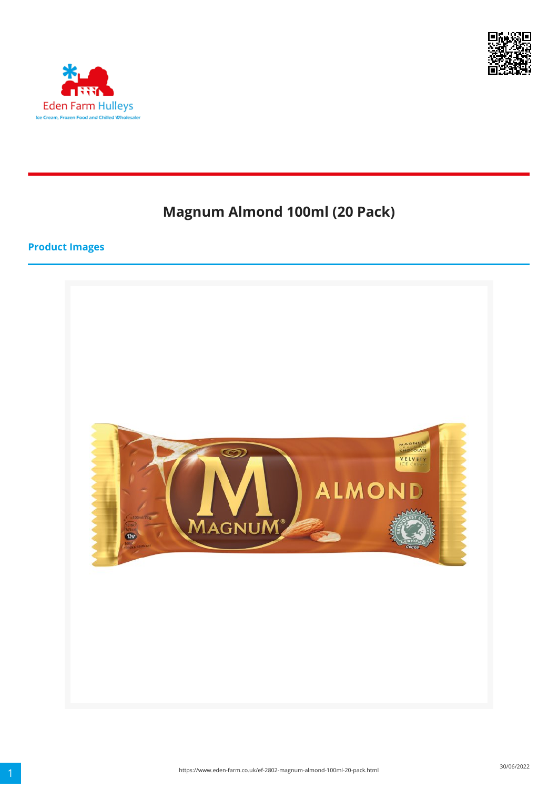



# **Magnum Almond 100ml (20 Pack)**

#### **Product Images**

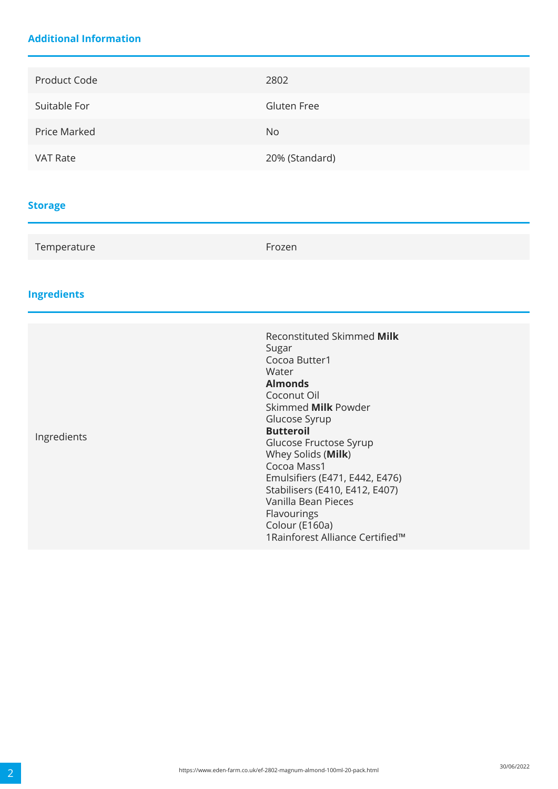### **Additional Information**

| Product Code    | 2802               |
|-----------------|--------------------|
| Suitable For    | <b>Gluten Free</b> |
| Price Marked    | No.                |
| <b>VAT Rate</b> | 20% (Standard)     |

### **Storage**

| Temperature | Frozen |  |
|-------------|--------|--|
|-------------|--------|--|

# **Ingredients**

| Ingredients | Reconstituted Skimmed Milk<br>Sugar<br>Cocoa Butter1<br>Water<br><b>Almonds</b><br>Coconut Oil<br>Skimmed <b>Milk</b> Powder<br>Glucose Syrup<br><b>Butteroil</b><br>Glucose Fructose Syrup<br>Whey Solids (Milk)<br>Cocoa Mass1<br>Emulsifiers (E471, E442, E476)<br>Stabilisers (E410, E412, E407)<br>Vanilla Bean Pieces<br>Flavourings<br>Colour (E160a)<br>1 Rainforest Alliance Certified™ |
|-------------|--------------------------------------------------------------------------------------------------------------------------------------------------------------------------------------------------------------------------------------------------------------------------------------------------------------------------------------------------------------------------------------------------|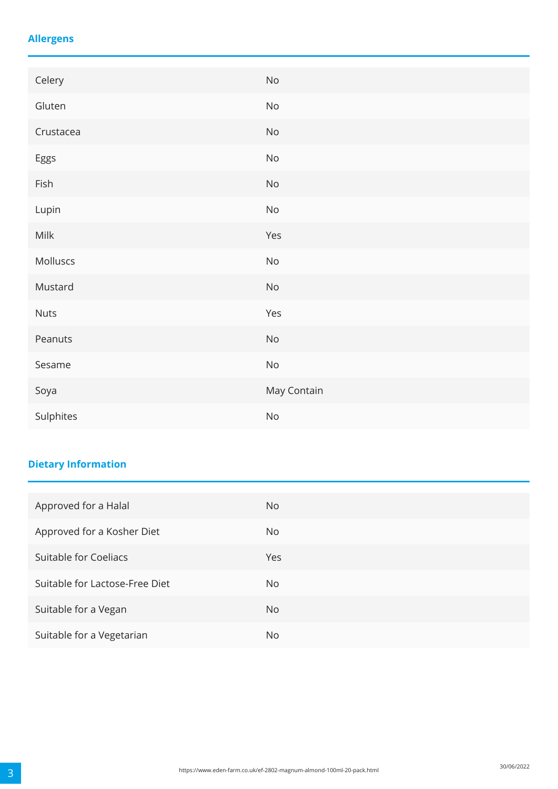### **Allergens**

| Celery      | No                           |
|-------------|------------------------------|
| Gluten      | $\mathsf{No}$                |
| Crustacea   | $\operatorname{\mathsf{No}}$ |
| Eggs        | $\operatorname{\mathsf{No}}$ |
| Fish        | $\mathsf{No}$                |
| Lupin       | $\mathsf{No}$                |
| Milk        | Yes                          |
| Molluscs    | $\mathsf{No}$                |
| Mustard     | $\operatorname{\mathsf{No}}$ |
| <b>Nuts</b> | Yes                          |
| Peanuts     | $\mathsf{No}$                |
| Sesame      | $\operatorname{\mathsf{No}}$ |
| Soya        | May Contain                  |
| Sulphites   | $\mathsf{No}$                |

# **Dietary Information**

| Approved for a Halal           | No. |
|--------------------------------|-----|
| Approved for a Kosher Diet     | No. |
| Suitable for Coeliacs          | Yes |
| Suitable for Lactose-Free Diet | No. |
| Suitable for a Vegan           | No. |
| Suitable for a Vegetarian      | No. |